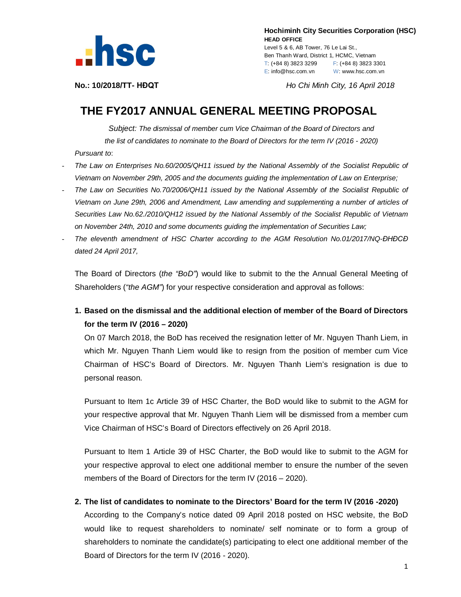

 **Hochiminh City Securities Corporation (HSC) HEAD OFFICE**

Level 5 & 6, AB Tower, 76 Le Lai St., Ben Thanh Ward, District 1, HCMC, Vietnam T: (+84 8) 3823 3299 F: (+84 8) 3823 3301 E: info@hsc.com.vn W: www.hsc.com.vn

**No.: 10/2018/TT- HĐQT** *Ho Chi Minh City, 16 April 2018*

## **THE FY2017 ANNUAL GENERAL MEETING PROPOSAL**

*Subject: The dismissal of member cum Vice Chairman of the Board of Directors and the list of candidates to nominate to the Board of Directors for the term IV (2016 - 2020) Pursuant to*:

- *The Law on Enterprises No.60/2005/QH11 issued by the National Assembly of the Socialist Republic of Vietnam on November 29th, 2005 and the documents guiding the implementation of Law on Enterprise;*
- *The Law on Securities No.70/2006/QH11 issued by the National Assembly of the Socialist Republic of Vietnam on June 29th, 2006 and Amendment, Law amending and supplementing a number of articles of Securities Law No.62./2010/QH12 issued by the National Assembly of the Socialist Republic of Vietnam on November 24th, 2010 and some documents guiding the implementation of Securities Law;*
- *The eleventh amendment of HSC Charter according to the AGM Resolution No.01/2017/NQ-ĐHĐCĐ dated 24 April 2017,*

The Board of Directors (*the "BoD"*) would like to submit to the the Annual General Meeting of Shareholders (*"the AGM"*) for your respective consideration and approval as follows:

**1. Based on the dismissal and the additional election of member of the Board of Directors for the term IV (2016 – 2020)**

On 07 March 2018, the BoD has received the resignation letter of Mr. Nguyen Thanh Liem, in which Mr. Nguyen Thanh Liem would like to resign from the position of member cum Vice Chairman of HSC's Board of Directors. Mr. Nguyen Thanh Liem's resignation is due to personal reason.

Pursuant to Item 1c Article 39 of HSC Charter, the BoD would like to submit to the AGM for your respective approval that Mr. Nguyen Thanh Liem will be dismissed from a member cum Vice Chairman of HSC's Board of Directors effectively on 26 April 2018.

Pursuant to Item 1 Article 39 of HSC Charter, the BoD would like to submit to the AGM for your respective approval to elect one additional member to ensure the number of the seven members of the Board of Directors for the term IV (2016 – 2020).

**2. The list of candidates to nominate to the Directors' Board for the term IV (2016 -2020)** 

According to the Company's notice dated 09 April 2018 posted on HSC website, the BoD would like to request shareholders to nominate/ self nominate or to form a group of shareholders to nominate the candidate(s) participating to elect one additional member of the Board of Directors for the term IV (2016 - 2020).